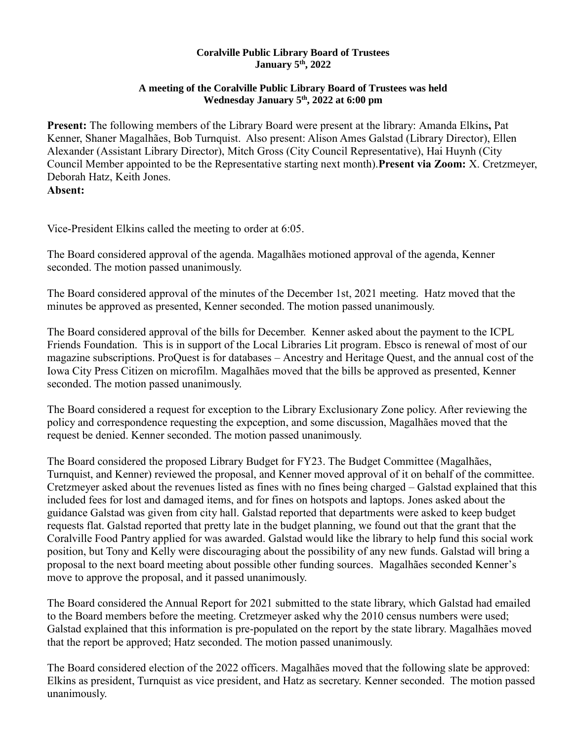## **Coralville Public Library Board of Trustees January 5th, 2022**

## **A meeting of the Coralville Public Library Board of Trustees was held Wednesday January 5th, 2022 at 6:00 pm**

**Present:** The following members of the Library Board were present at the library: Amanda Elkins**,** Pat Kenner, Shaner Magalhães, Bob Turnquist. Also present: Alison Ames Galstad (Library Director), Ellen Alexander (Assistant Library Director), Mitch Gross (City Council Representative), Hai Huynh (City Council Member appointed to be the Representative starting next month).**Present via Zoom:** X. Cretzmeyer, Deborah Hatz, Keith Jones. **Absent:**

Vice-President Elkins called the meeting to order at 6:05.

The Board considered approval of the agenda. Magalhães motioned approval of the agenda, Kenner seconded. The motion passed unanimously.

The Board considered approval of the minutes of the December 1st, 2021 meeting. Hatz moved that the minutes be approved as presented, Kenner seconded. The motion passed unanimously.

The Board considered approval of the bills for December. Kenner asked about the payment to the ICPL Friends Foundation. This is in support of the Local Libraries Lit program. Ebsco is renewal of most of our magazine subscriptions. ProQuest is for databases – Ancestry and Heritage Quest, and the annual cost of the Iowa City Press Citizen on microfilm. Magalhães moved that the bills be approved as presented, Kenner seconded. The motion passed unanimously.

The Board considered a request for exception to the Library Exclusionary Zone policy. After reviewing the policy and correspondence requesting the expception, and some discussion, Magalhães moved that the request be denied. Kenner seconded. The motion passed unanimously.

The Board considered the proposed Library Budget for FY23. The Budget Committee (Magalhães, Turnquist, and Kenner) reviewed the proposal, and Kenner moved approval of it on behalf of the committee. Cretzmeyer asked about the revenues listed as fines with no fines being charged – Galstad explained that this included fees for lost and damaged items, and for fines on hotspots and laptops. Jones asked about the guidance Galstad was given from city hall. Galstad reported that departments were asked to keep budget requests flat. Galstad reported that pretty late in the budget planning, we found out that the grant that the Coralville Food Pantry applied for was awarded. Galstad would like the library to help fund this social work position, but Tony and Kelly were discouraging about the possibility of any new funds. Galstad will bring a proposal to the next board meeting about possible other funding sources. Magalhães seconded Kenner's move to approve the proposal, and it passed unanimously.

The Board considered the Annual Report for 2021 submitted to the state library, which Galstad had emailed to the Board members before the meeting. Cretzmeyer asked why the 2010 census numbers were used; Galstad explained that this information is pre-populated on the report by the state library. Magalhães moved that the report be approved; Hatz seconded. The motion passed unanimously.

The Board considered election of the 2022 officers. Magalhães moved that the following slate be approved: Elkins as president, Turnquist as vice president, and Hatz as secretary. Kenner seconded. The motion passed unanimously.